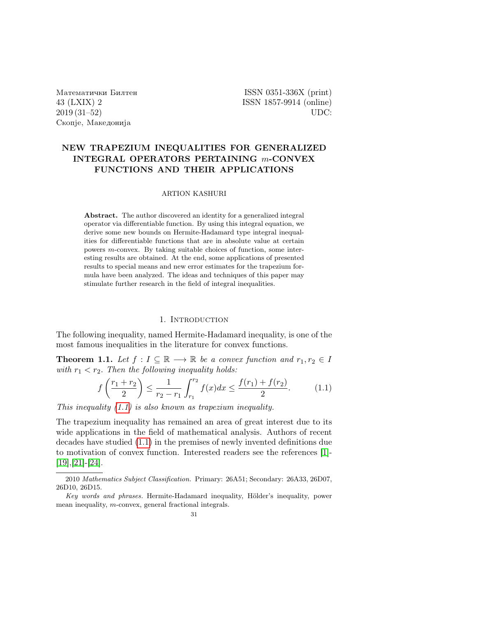Matematiqki Bilten ISSN 0351-336X (print) Скопје, Македонија

43 (LXIX) 2 ISSN 1857-9914 (online) 2019 (31–52) UDC:

# NEW TRAPEZIUM INEQUALITIES FOR GENERALIZED INTEGRAL OPERATORS PERTAINING m-CONVEX FUNCTIONS AND THEIR APPLICATIONS

## ARTION KASHURI

Abstract. The author discovered an identity for a generalized integral operator via differentiable function. By using this integral equation, we derive some new bounds on Hermite-Hadamard type integral inequalities for differentiable functions that are in absolute value at certain powers m-convex. By taking suitable choices of function, some interesting results are obtained. At the end, some applications of presented results to special means and new error estimates for the trapezium formula have been analyzed. The ideas and techniques of this paper may stimulate further research in the field of integral inequalities.

#### 1. INTRODUCTION

The following inequality, named Hermite-Hadamard inequality, is one of the most famous inequalities in the literature for convex functions.

**Theorem 1.1.** Let  $f: I \subseteq \mathbb{R} \longrightarrow \mathbb{R}$  be a convex function and  $r_1, r_2 \in I$ with  $r_1 < r_2$ . Then the following inequality holds:

<span id="page-0-0"></span>
$$
f\left(\frac{r_1+r_2}{2}\right) \le \frac{1}{r_2-r_1} \int_{r_1}^{r_2} f(x)dx \le \frac{f(r_1)+f(r_2)}{2}.
$$
 (1.1)

This inequality  $(1.1)$  is also known as trapezium inequality.

The trapezium inequality has remained an area of great interest due to its wide applications in the field of mathematical analysis. Authors of recent decades have studied [\(1.1\)](#page-0-0) in the premises of newly invented definitions due to motivation of convex function. Interested readers see the references [\[1\]](#page-20-0)- [\[19\]](#page-21-0),[\[21\]](#page-21-1)-[\[24\]](#page-21-2).

<sup>2010</sup> Mathematics Subject Classification. Primary: 26A51; Secondary: 26A33, 26D07, 26D10, 26D15.

Key words and phrases. Hermite-Hadamard inequality, Hölder's inequality, power mean inequality, m-convex, general fractional integrals.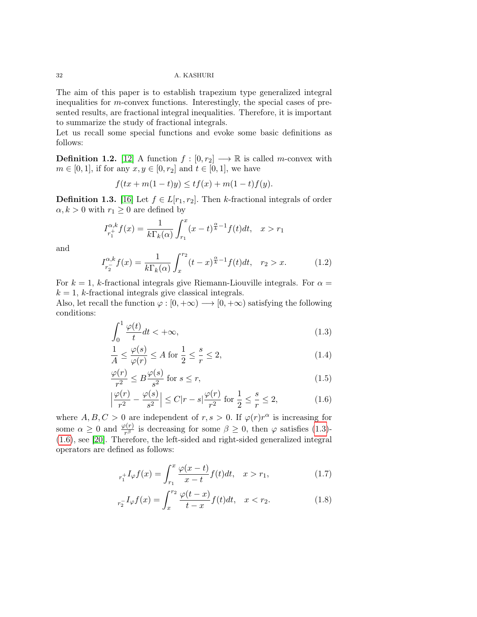The aim of this paper is to establish trapezium type generalized integral inequalities for m-convex functions. Interestingly, the special cases of presented results, are fractional integral inequalities. Therefore, it is important to summarize the study of fractional integrals.

Let us recall some special functions and evoke some basic definitions as follows:

**Definition 1.2.** [\[12\]](#page-20-1) A function  $f : [0, r_2] \longrightarrow \mathbb{R}$  is called m-convex with  $m \in [0, 1]$ , if for any  $x, y \in [0, r_2]$  and  $t \in [0, 1]$ , we have

$$
f(tx + m(1-t)y) \le tf(x) + m(1-t)f(y).
$$

**Definition 1.3.** [\[16\]](#page-21-3) Let  $f \in L[r_1, r_2]$ . Then k-fractional integrals of order  $\alpha, k > 0$  with  $r_1 \geq 0$  are defined by

$$
I_{r_1^+}^{\alpha,k} f(x) = \frac{1}{k \Gamma_k(\alpha)} \int_{r_1}^x (x - t)^{\frac{\alpha}{k} - 1} f(t) dt, \quad x > r_1
$$

and

$$
I_{r_2^-}^{\alpha,k} f(x) = \frac{1}{k \Gamma_k(\alpha)} \int_x^{r_2} (t - x)^{\frac{\alpha}{k} - 1} f(t) dt, \quad r_2 > x.
$$
 (1.2)

For  $k = 1$ , k-fractional integrals give Riemann-Liouville integrals. For  $\alpha =$  $k = 1$ , k-fractional integrals give classical integrals.

Also, let recall the function  $\varphi : [0, +\infty) \longrightarrow [0, +\infty)$  satisfying the following conditions:

<span id="page-1-0"></span>
$$
\int_0^1 \frac{\varphi(t)}{t} dt < +\infty,
$$
\n(1.3)

$$
\frac{1}{A} \le \frac{\varphi(s)}{\varphi(r)} \le A \text{ for } \frac{1}{2} \le \frac{s}{r} \le 2,
$$
\n(1.4)

$$
\frac{\varphi(r)}{r^2} \le B \frac{\varphi(s)}{s^2} \text{ for } s \le r,
$$
\n(1.5)

<span id="page-1-1"></span>
$$
\left|\frac{\varphi(r)}{r^2} - \frac{\varphi(s)}{s^2}\right| \le C|r - s|\frac{\varphi(r)}{r^2} \text{ for } \frac{1}{2} \le \frac{s}{r} \le 2,
$$
 (1.6)

where  $A, B, C > 0$  are independent of  $r, s > 0$ . If  $\varphi(r)r^{\alpha}$  is increasing for some  $\alpha \geq 0$  and  $\frac{\varphi(r)}{r^{\beta}}$  is decreasing for some  $\beta \geq 0$ , then  $\varphi$  satisfies [\(1.3\)](#page-1-0)-[\(1.6\)](#page-1-1), see [\[20\]](#page-21-4). Therefore, the left-sided and right-sided generalized integral operators are defined as follows:

$$
r_1^{\dagger}I_{\varphi}f(x) = \int_{r_1}^{x} \frac{\varphi(x-t)}{x-t} f(t)dt, \quad x > r_1,
$$
 (1.7)

$$
{}_{r_{2}^{-}}I_{\varphi}f(x) = \int_{x}^{r_{2}} \frac{\varphi(t-x)}{t-x} f(t)dt, \quad x < r_{2}.
$$
 (1.8)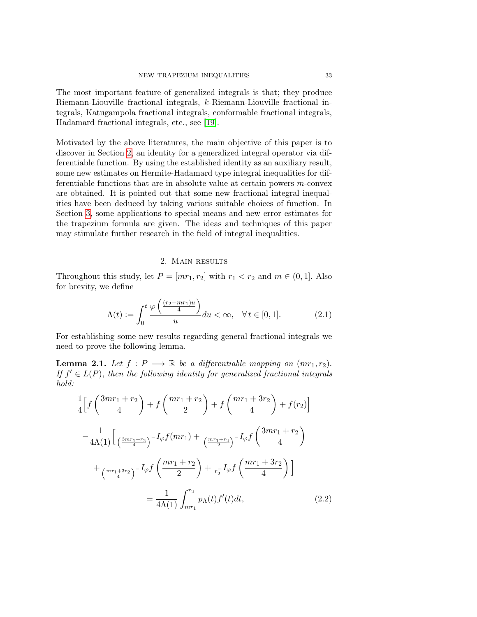The most important feature of generalized integrals is that; they produce Riemann-Liouville fractional integrals, k-Riemann-Liouville fractional integrals, Katugampola fractional integrals, conformable fractional integrals, Hadamard fractional integrals, etc., see [\[19\]](#page-21-0).

Motivated by the above literatures, the main objective of this paper is to discover in Section [2,](#page-2-0) an identity for a generalized integral operator via differentiable function. By using the established identity as an auxiliary result, some new estimates on Hermite-Hadamard type integral inequalities for differentiable functions that are in absolute value at certain powers m-convex are obtained. It is pointed out that some new fractional integral inequalities have been deduced by taking various suitable choices of function. In Section [3,](#page-15-0) some applications to special means and new error estimates for the trapezium formula are given. The ideas and techniques of this paper may stimulate further research in the field of integral inequalities.

## 2. Main results

<span id="page-2-0"></span>Throughout this study, let  $P = [mr_1, r_2]$  with  $r_1 < r_2$  and  $m \in (0, 1]$ . Also for brevity, we define

$$
\Lambda(t) := \int_0^t \frac{\varphi\left(\frac{(r_2 - mr_1)u}{4}\right)}{u} du < \infty, \quad \forall \, t \in [0, 1].\tag{2.1}
$$

For establishing some new results regarding general fractional integrals we need to prove the following lemma.

<span id="page-2-1"></span>**Lemma 2.1.** Let  $f : P \longrightarrow \mathbb{R}$  be a differentiable mapping on  $(mr_1, r_2)$ . If  $f' \in L(P)$ , then the following identity for generalized fractional integrals hold:

$$
\frac{1}{4}\left[f\left(\frac{3mr_1+r_2}{4}\right)+f\left(\frac{mr_1+r_2}{2}\right)+f\left(\frac{mr_1+3r_2}{4}\right)+f(r_2)\right]
$$

$$
-\frac{1}{4\Lambda(1)}\left[\frac{3mr_1+r_2}{4}\right)^{-I\varphi}f(mr_1)+\frac{mr_1+r_2}{2}\right]^{-I\varphi}f\left(\frac{3mr_1+r_2}{4}\right)
$$

$$
+\frac{mr_1+3r_2}{4}\left[\frac{mr_1+r_2}{2}\right)+r_2I\varphi f\left(\frac{mr_1+3r_2}{4}\right)\right]
$$

$$
=\frac{1}{4\Lambda(1)}\int_{mr_1}^{r_2}p_{\Lambda}(t)f'(t)dt,
$$
(2.2)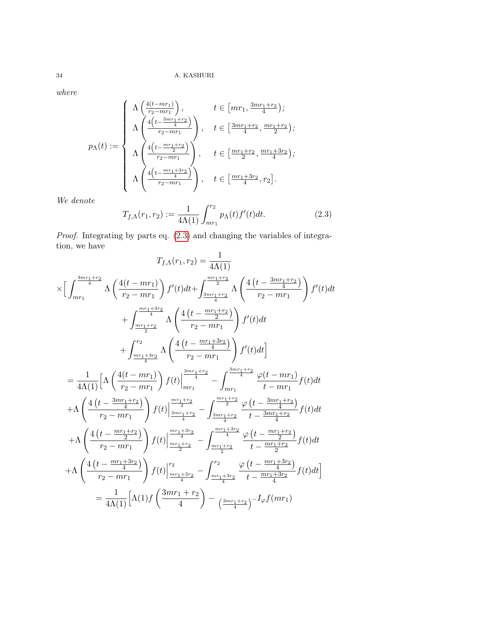where

$$
p_{\Lambda}(t) := \begin{cases} \Lambda\left(\frac{4(t - mr_1)}{r_2 - mr_1}\right), & t \in [mr_1, \frac{3mr_1 + r_2}{4});\\ \Lambda\left(\frac{4\left(t - \frac{3mr_1 + r_2}{4}\right)}{r_2 - mr_1}\right), & t \in [\frac{3mr_1 + r_2}{4}, \frac{mr_1 + r_2}{2});\\ \Lambda\left(\frac{4\left(t - \frac{mr_1 + r_2}{2}\right)}{r_2 - mr_1}\right), & t \in [\frac{mr_1 + r_2}{2}, \frac{mr_1 + 3r_2}{4});\\ \Lambda\left(\frac{4\left(t - \frac{mr_1 + 3r_2}{4}\right)}{r_2 - mr_1}\right), & t \in [\frac{mr_1 + 3r_2}{4}, r_2]. \end{cases}
$$

We denote

<span id="page-3-0"></span>
$$
T_{f,\Lambda}(r_1,r_2) := \frac{1}{4\Lambda(1)} \int_{mr_1}^{r_2} p_{\Lambda}(t) f'(t) dt.
$$
 (2.3)

Proof. Integrating by parts eq.  $(2.3)$  and changing the variables of integration, we have

$$
T_{f,\Lambda}(r_1, r_2) = \frac{1}{4\Lambda(1)}
$$
\n
$$
\times \left[ \int_{mr_1}^{\frac{3mr_1+r_2}{4}} \Lambda \left( \frac{4(t-mr_1)}{r_2 - mr_1} \right) f'(t) dt + \int_{\frac{3mr_1+r_2}{4}}^{\frac{mr_1+r_2}{4}} \Lambda \left( \frac{4\left(t - \frac{3mr_1+r_2}{4}\right)}{r_2 - mr_1} \right) f'(t) dt + \int_{\frac{mr_1+r_2}{4}}^{\frac{mr_1+3r_2}{4}} \Lambda \left( \frac{4\left(t - \frac{mr_1+3r_2}{2}\right)}{r_2 - mr_1} \right) f'(t) dt + \int_{\frac{mr_1+3r_2}{4}}^{\frac{mr_1+r_2}{4}} \Lambda \left( \frac{4\left(t - \frac{mr_1+3r_2}{4}\right)}{r_2 - mr_1} \right) f'(t) dt + \int_{\frac{mr_1+3r_2}{4}}^{\frac{mr_1+r_2}{4}} \Lambda \left( \frac{4\left(t - \frac{mr_1+3r_2}{4}\right)}{r_2 - mr_1} \right) f'(t) dt + \Lambda \left( \frac{4\left(t - \frac{3mr_1+r_2}{4}\right)}{r_2 - mr_1} \right) f(t) \Big|_{\frac{3mr_1+r_2}{3m_1} - \int_{\frac{3mr_1+r_2}{4}}^{\frac{3mr_1+r_2}{4}} \frac{\varphi(t - mr_1)}{t - mr_1} f(t) dt + \Lambda \left( \frac{4\left(t - \frac{3mr_1+r_2}{2}\right)}{r_2 - mr_1} \right) f(t) \Big|_{\frac{mr_1+r_2}{2}}^{\frac{mr_1+r_2}{4}} - \int_{\frac{3mr_1+r_2}{2}}^{\frac{mr_1+r_2}{4}} \frac{\varphi\left(t - \frac{3mr_1+r_2}{4}\right)}{t - \frac{3mr_1+r_2}{2}} f(t) dt + \Lambda \left( \frac{4\left(t - \frac{mr_1+3r_2}{2}\right)}{r_2 - mr_1} \right) f(t) \Big|_{\frac{mr_1+r_2}{2}}^{\frac{mr_1+r_2}{4}} - \int_{\frac{mr_1+r_2}{2}}^{\frac{mr_1
$$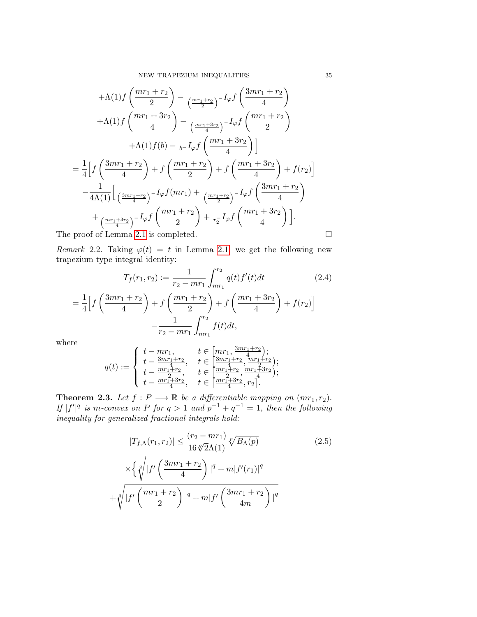$$
+\Lambda(1)f\left(\frac{mr_1+r_2}{2}\right) - \frac{m_1+r_2}{2} - I_{\varphi}f\left(\frac{3mr_1+r_2}{4}\right) \n+\Lambda(1)f\left(\frac{mr_1+3r_2}{4}\right) - \frac{m_1+3r_2}{4} - I_{\varphi}f\left(\frac{mr_1+r_2}{2}\right) \n+\Lambda(1)f(b) - \frac{1}{2}f\left(\frac{mr_1+3r_2}{4}\right)\n\end{math>
$$
= \frac{1}{4}\left[f\left(\frac{3mr_1+r_2}{4}\right) + f\left(\frac{mr_1+r_2}{2}\right) + f\left(\frac{mr_1+3r_2}{4}\right) + f(r_2)\right] - \frac{1}{4\Lambda(1)}\left[\frac{3mr_1+r_2}{4}\right] - I_{\varphi}f(mr_1) + \frac{m_1+r_2}{4} - I_{\varphi}f\left(\frac{3mr_1+r_2}{4}\right) \n+ \frac{m_1+3r_2}{4} - I_{\varphi}f\left(\frac{mr_1+r_2}{2}\right) + \frac{I_{\varphi}f\left(\frac{mr_1+3r_2}{4}\right)}{4}.\n\text{The proof of Lemma 2.1 is completed.} \qquad \Box
$$
$$

Remark 2.2. Taking  $\varphi(t) = t$  in Lemma [2.1,](#page-2-1) we get the following new trapezium type integral identity:

$$
T_f(r_1, r_2) := \frac{1}{r_2 - mr_1} \int_{mr_1}^{r_2} q(t) f'(t) dt \qquad (2.4)
$$

$$
= \frac{1}{4} \Big[ f\left(\frac{3mr_1 + r_2}{4}\right) + f\left(\frac{mr_1 + r_2}{2}\right) + f\left(\frac{mr_1 + 3r_2}{4}\right) + f(r_2) \Big] - \frac{1}{r_2 - mr_1} \int_{mr_1}^{r_2} f(t) dt,
$$

where

$$
q(t) := \begin{cases} t - mr_1, & t \in [mr_1, \frac{3mr_1 + r_2}{4}); \\ t - \frac{3mr_1 + r_2}{4}, & t \in [\frac{3mr_1 + r_2}{4}, \frac{mr_1 + r_2}{2}); \\ t - \frac{mr_1 + r_2}{4}, & t \in [\frac{mr_1 + r_2}{4}, \frac{mr_1 + 3r_2}{4}); \\ t - \frac{mr_1 + 3r_2}{4}, & t \in [\frac{mr_1 + 3r_2}{4}, r_2]. \end{cases}
$$

<span id="page-4-0"></span>**Theorem 2.3.** Let  $f : P \longrightarrow \mathbb{R}$  be a differentiable mapping on  $(mr_1, r_2)$ . If  $|f'|^q$  is m-convex on P for  $q > 1$  and  $p^{-1} + q^{-1} = 1$ , then the following inequality for generalized fractional integrals hold:

$$
|T_{f,\Lambda}(r_1,r_2)| \leq \frac{(r_2 - mr_1)}{16\sqrt[4]{2\Lambda(1)}}\sqrt[p]{B_{\Lambda}(p)}
$$
  
 
$$
\times \left\{\sqrt[q]{|f'\left(\frac{3mr_1 + r_2}{4}\right)|^q + m|f'(r_1)|^q}\right\}
$$
  
 
$$
+ \sqrt[q]{|f'\left(\frac{mr_1 + r_2}{2}\right)|^q + m|f'\left(\frac{3mr_1 + r_2}{4m}\right)|^q}
$$
 (2.5)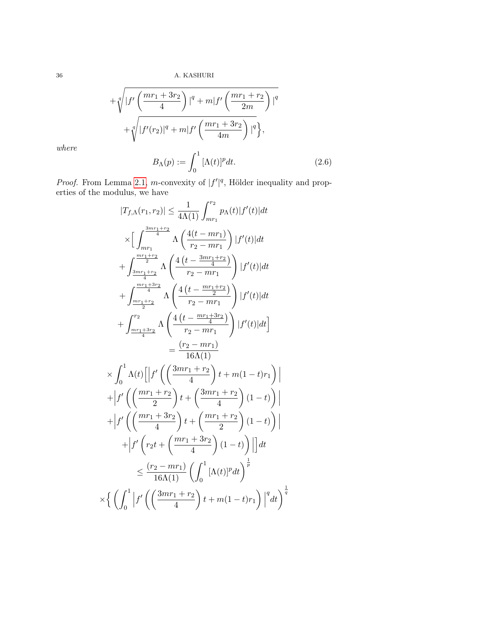$$
+\sqrt[q]{|f'\left(\frac{mr_1+3r_2}{4}\right)|^q + m|f'\left(\frac{mr_1+r_2}{2m}\right)|^q} +\sqrt[q]{|f'(r_2)|^q + m|f'\left(\frac{mr_1+3r_2}{4m}\right)|^q}, B_{\Lambda}(p) := \int_a^1 [\Lambda(t)]^p dt.
$$
 (2.6)

where

$$
B_{\Lambda}(p) := \int_0^1 [\Lambda(t)]^p dt. \tag{2.6}
$$

*Proof.* From Lemma [2.1,](#page-2-1) *m*-convexity of  $|f'|^q$ , Hölder inequality and properties of the modulus, we have

$$
|T_{f,\Lambda}(r_1,r_2)| \leq \frac{1}{4\Lambda(1)} \int_{mr_1}^{r_2} p_{\Lambda}(t)|f'(t)|dt
$$
  
\n
$$
\times \Big[\int_{mr_1}^{\frac{3mr_1+r_2}{4}} \Lambda\left(\frac{4(t-mr_1)}{r_2-mr_1}\right) |f'(t)|dt
$$
  
\n
$$
+ \int_{\frac{3mr_1+r_2}{4}}^{\frac{mr_1+r_2}{4}} \Lambda\left(\frac{4(t-\frac{3mr_1+r_2}{4})}{r_2-mr_1}\right) |f'(t)|dt
$$
  
\n
$$
+ \int_{\frac{m_1+r_2}{4}}^{\frac{mr_1+3r_2}{4}} \Lambda\left(\frac{4(t-\frac{mr_1+r_2}{2})}{r_2-mr_1}\right) |f'(t)|dt
$$
  
\n
$$
+ \int_{\frac{m_1+r_3r_2}{4}}^{r_2} \Lambda\left(\frac{4(t-\frac{mr_1+3r_2}{4})}{r_2-mr_1}\right) |f'(t)|dt\Big]
$$
  
\n
$$
= \frac{(r_2-mr_1)}{16\Lambda(1)}
$$
  
\n
$$
\times \int_0^1 \Lambda(t) \Big[ |f'\left(\frac{3mr_1+r_2}{4}\right) t + m(1-t)r_1 \Big) |
$$
  
\n
$$
+ |f'\left(\frac{mr_1+r_2}{4}\right) t + \left(\frac{3mr_1+r_2}{4}\right) (1-t) \Big) |
$$
  
\n
$$
+ |f'\left(r_2t + \left(\frac{mr_1+3r_2}{4}\right) (1-t) \right) | dt
$$
  
\n
$$
\leq \frac{(r_2-mr_1)}{16\Lambda(1)} \left(\int_0^1 [\Lambda(t)]^p dt\right)^{\frac{1}{p}}
$$
  
\n
$$
\times \left\{\left(\int_0^1 |f'\left(\frac{3mr_1+r_2}{4}\right) t + m(1-t)r_1\right)^{q} dt\right)^{\frac{1}{q}}
$$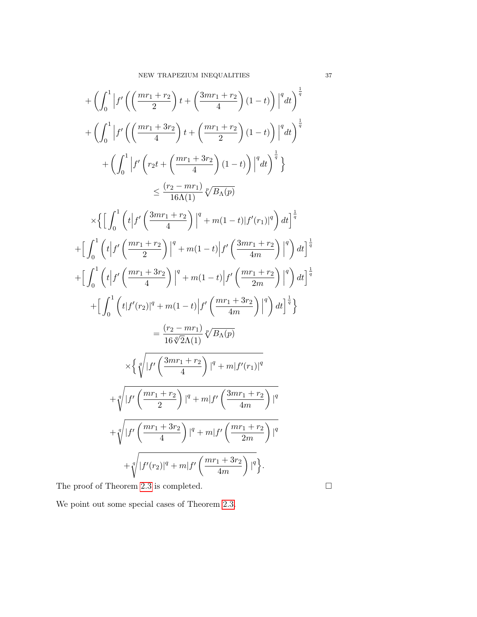$$
+\left(\int_{0}^{1} \left|f'\left(\left(\frac{mr_{1}+r_{2}}{2}\right)t+\left(\frac{3mr_{1}+r_{2}}{4}\right)(1-t)\right)\right|^{q}dt\right)^{\frac{1}{q}}
$$
  
+
$$
\left(\int_{0}^{1} \left|f'\left(\left(\frac{mr_{1}+3r_{2}}{4}\right)t+\left(\frac{mr_{1}+r_{2}}{2}\right)(1-t)\right)\right|^{q}dt\right)^{\frac{1}{q}}
$$
  
+
$$
\left(\int_{0}^{1} \left|f'\left(r_{2}t+\left(\frac{mr_{1}+3r_{2}}{4}\right)(1-t)\right)\right|^{q}dt\right)^{\frac{1}{q}}
$$
  

$$
\leq \frac{(r_{2}-mr_{1})}{16\Lambda(1)}\sqrt[n]{B_{\Lambda}(p)}
$$
  

$$
\times \left\{\left[\int_{0}^{1} \left(t\left|f'\left(\frac{3mr_{1}+r_{2}}{4}\right)\right|^{q}+m(1-t)|f'(r_{1})|^{q}\right)dt\right]^{\frac{1}{q}}
$$
  
+
$$
\left[\int_{0}^{1} \left(t\left|f'\left(\frac{mr_{1}+3r_{2}}{2}\right)\right|^{q}+m(1-t)|f'\left(\frac{3mr_{1}+r_{2}}{4m}\right)\right|^{q}\right)dt\right]^{\frac{1}{q}}
$$
  
+
$$
\left[\int_{0}^{1} \left(t\left|f'\left(\frac{mr_{1}+3r_{2}}{4}\right)\right|^{q}+m(1-t)|f'\left(\frac{mr_{1}+r_{2}}{2m}\right)\right|^{q}\right)dt\right]^{\frac{1}{q}}
$$
  
+
$$
\left[\int_{0}^{1} \left(t\left|f'(r_{2})\right|^{q}+m(1-t)|f'\left(\frac{mr_{1}+3r_{2}}{4m}\right)\right|^{q}\right)dt\right]^{\frac{1}{q}}
$$
  
=
$$
\frac{(r_{2}-mr_{1})}{16\sqrt[n]{2\Lambda(1)}}\sqrt[n]{B_{\Lambda}(p)}
$$
  

$$
\times \left\{\sqrt[n]{|f'\left(\frac{3mr_{1}+r_{2}}{4}\right)|^{q}+m|f'(r_{1})|^{q}}
$$
  
+
$$
\sqrt[n]{|f'\left(\frac{mr_{1}+3r
$$

The proof of Theorem [2.3](#page-4-0) is completed.  $\hfill \square$ 

We point out some special cases of Theorem [2.3.](#page-4-0)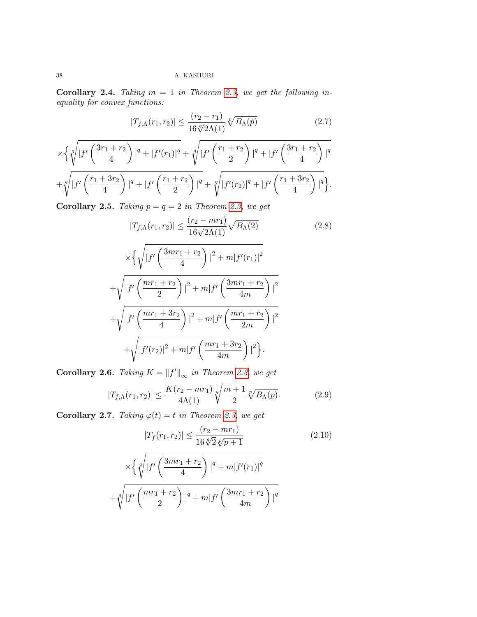Corollary 2.4. Taking  $m = 1$  in Theorem [2.3,](#page-4-0) we get the following inequality for convex functions:

$$
|T_{f,\Lambda}(r_1,r_2)| \le \frac{(r_2 - r_1)}{16\sqrt[4]{2}\Lambda(1)}\sqrt[p]{B_{\Lambda}(p)}\tag{2.7}
$$

$$
\times \left\{ \sqrt[4]{|f'(\frac{3r_1+r_2}{4})|^q + |f'(r_1)|^q} + \sqrt[4]{|f'(\frac{r_1+r_2}{2})|^q + |f'(\frac{3r_1+r_2}{4})|^q} + \sqrt[4]{|f'(\frac{r_1+3r_2}{4})|^q + |f'(\frac{r_1+r_2}{2})|^q + \sqrt[4]{|f'(r_2)|^q + |f'(\frac{r_1+3r_2}{4})|^q} \right\}.
$$

Corollary 2.5. Taking  $p = q = 2$  in Theorem [2.3,](#page-4-0) we get

$$
|T_{f,\Lambda}(r_1,r_2)| \le \frac{(r_2 - mr_1)}{16\sqrt{2}\Lambda(1)} \sqrt{B_{\Lambda}(2)}
$$
 (2.8)

$$
\times \left\{ \sqrt{\left| f'\left(\frac{3mr_1+r_2}{4}\right) \right|^2 + m|f'(r_1)|^2} \right\}
$$
  
+ 
$$
\sqrt{\left| f'\left(\frac{mr_1+r_2}{2}\right) \right|^2 + m|f'\left(\frac{3mr_1+r_2}{4m}\right)|^2}
$$
  
+ 
$$
\sqrt{\left| f'\left(\frac{mr_1+3r_2}{4}\right) \right|^2 + m|f'\left(\frac{mr_1+r_2}{2m}\right)|^2}
$$
  
+ 
$$
\sqrt{\left| f'(r_2) \right|^2 + m|f'\left(\frac{mr_1+3r_2}{4m}\right)|^2}.
$$

**Corollary 2.6.** Taking  $K = ||f'||_{\infty}$  in Theorem [2.3,](#page-4-0) we get

$$
|T_{f,\Lambda}(r_1,r_2)| \le \frac{K(r_2 - mr_1)}{4\Lambda(1)} \sqrt[q]{\frac{m+1}{2}} \sqrt[p]{B_{\Lambda}(p)}.
$$
 (2.9)

Corollary 2.7. Taking  $\varphi(t) = t$  in Theorem [2.3,](#page-4-0) we get

$$
|T_f(r_1, r_2)| \le \frac{(r_2 - mr_1)}{16\sqrt[q]{2}\sqrt[p]{p+1}}\tag{2.10}
$$

$$
\times \left\{ \sqrt[q]{|f'(\frac{3mr_1+r_2}{4})|^q + m|f'(r_1)|^q} + \sqrt[q]{|f'(\frac{mr_1+r_2}{2})|^q + m|f'(\frac{3mr_1+r_2}{4m})|^q} \right\}
$$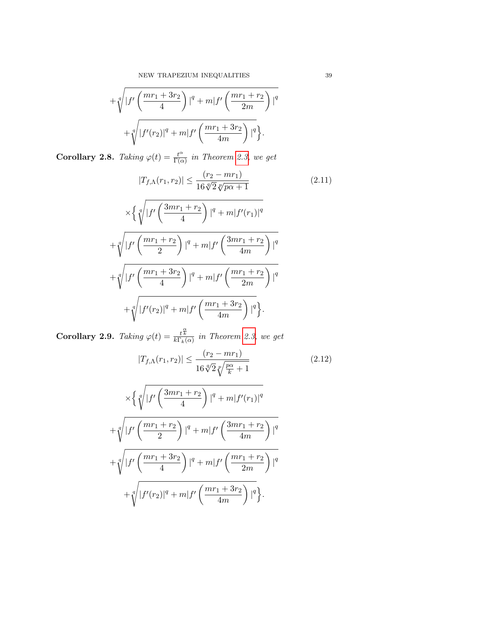$$
+\sqrt[q]{|f'(\frac{mr_1+3r_2}{4})|^q + m|f'(\frac{mr_1+r_2}{2m})|^q} + \sqrt[q]{|f'(r_2)|^q + m|f'(\frac{mr_1+3r_2}{4m})|^q}.
$$

Corollary 2.8. Taking  $\varphi(t) = \frac{t^{\alpha}}{\Gamma(\alpha)}$  $\frac{t^{\alpha}}{\Gamma(\alpha)}$  in Theorem [2.3,](#page-4-0) we get

$$
|T_{f,\Lambda}(r_1, r_2)| \le \frac{(r_2 - mr_1)}{16\sqrt[4]{2}\sqrt[p]{p\alpha + 1}} \tag{2.11}
$$

$$
\times \left\{ \sqrt[q]{|f'\left(\frac{3mr_1 + r_2}{4}\right)|^q + m|f'(r_1)|^q} + \sqrt[q]{|f'\left(\frac{mr_1 + r_2}{2}\right)|^q + m|f'\left(\frac{3mr_1 + r_2}{4m}\right)|^q} + \sqrt[q]{|f'\left(\frac{mr_1 + 3r_2}{4}\right)|^q + m|f'\left(\frac{mr_1 + r_2}{2m}\right)|^q} + \sqrt[q]{|f'(r_2)|^q + m|f'\left(\frac{mr_1 + 3r_2}{4m}\right)|^q}.
$$

**Corollary 2.9.** Taking  $\varphi(t) = \frac{t^{\frac{\alpha}{K}}}{k\Gamma_k(\alpha)}$  in Theorem [2.3,](#page-4-0) we get

$$
|T_{f,\Lambda}(r_1,r_2)| \le \frac{(r_2 - mr_1)}{16\sqrt[4]{2}\sqrt[p]{\frac{p\alpha}{k} + 1}}\tag{2.12}
$$

$$
\times \left\{ \sqrt[q]{|f'\left(\frac{3mr_1+r_2}{4}\right)|^q + m|f'(r_1)|^q} + \sqrt[q]{|f'\left(\frac{mr_1+r_2}{2}\right)|^q + m|f'\left(\frac{3mr_1+r_2}{4m}\right)|^q} + \sqrt[q]{|f'\left(\frac{mr_1+3r_2}{4}\right)|^q + m|f'\left(\frac{mr_1+r_2}{2m}\right)|^q} + \sqrt[q]{|f'(r_2)|^q + m|f'\left(\frac{mr_1+3r_2}{4m}\right)|^q}.
$$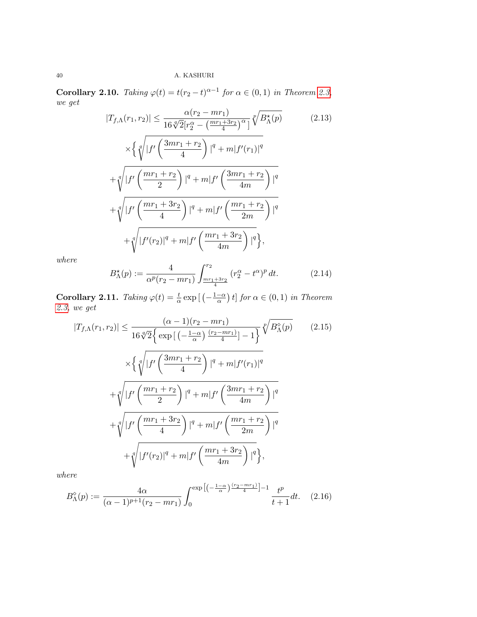**Corollary 2.10.** Taking  $\varphi(t) = t(r_2 - t)^{\alpha - 1}$  for  $\alpha \in (0, 1)$  in Theorem [2.3,](#page-4-0) we get

$$
|T_{f,\Lambda}(r_1,r_2)| \leq \frac{\alpha(r_2 - mr_1)}{16\sqrt[4]{2[r_2^{\alpha} - \left(\frac{mr_1 + 3r_2}{4}\right)^{\alpha}]}}\sqrt[p]{B_{\Lambda}^{\star}(p)}
$$
(2.13)  

$$
\times \left\{\sqrt[q]{|f'\left(\frac{3mr_1 + r_2}{4}\right)|^q + m|f'(r_1)|^q}\right\}
$$
  

$$
+ \sqrt[q]{|f'\left(\frac{mr_1 + r_2}{2}\right)|^q + m|f'\left(\frac{3mr_1 + r_2}{4m}\right)|^q}
$$
  

$$
+ \sqrt[q]{|f'\left(\frac{mr_1 + 3r_2}{4}\right)|^q + m|f'\left(\frac{mr_1 + r_2}{2m}\right)|^q}
$$
  

$$
+ \sqrt[q]{|f'(r_2)|^q + m|f'\left(\frac{mr_1 + 3r_2}{4m}\right)|^q}\right\},
$$

where

$$
B_{\Lambda}^{\star}(p) := \frac{4}{\alpha^p (r_2 - mr_1)} \int_{\frac{mr_1 + 3r_2}{4}}^{r_2} (r_2^{\alpha} - t^{\alpha})^p dt.
$$
 (2.14)

**Corollary 2.11.** Taking  $\varphi(t) = \frac{t}{\alpha} \exp\left[\left(-\frac{1-\alpha}{\alpha}\right)\right]$  $\left(\frac{-\alpha}{\alpha}\right)t$  for  $\alpha \in (0,1)$  in Theorem [2.3,](#page-4-0) we get

$$
|T_{f,\Lambda}(r_1,r_2)| \leq \frac{(\alpha - 1)(r_2 - mr_1)}{16\sqrt[4]{2} \{\exp\left[\left(-\frac{1-\alpha}{\alpha}\right)\frac{(r_2 - mr_1)}{4}\right] - 1\}} \sqrt[p]{B_{\Lambda}^{\circ}(p)} \qquad (2.15)
$$

$$
\times \left\{ \sqrt[q]{|f'\left(\frac{3mr_1 + r_2}{4}\right)|^q + m|f'(r_1)|^q} + \sqrt[q]{|f'\left(\frac{mr_1 + r_2}{2}\right)|^q + m|f'\left(\frac{3mr_1 + r_2}{4m}\right)|^q} + \sqrt[q]{|f'\left(\frac{mr_1 + 3r_2}{4}\right)|^q + m|f'\left(\frac{mr_1 + r_2}{2m}\right)|^q} + \sqrt[q]{|f'(r_2)|^q + m|f'\left(\frac{mr_1 + 3r_2}{4m}\right)|^q} \right\},
$$

where

<span id="page-9-0"></span>
$$
B_{\Lambda}^{\diamond}(p) := \frac{4\alpha}{(\alpha - 1)^{p+1}(r_2 - mr_1)} \int_0^{\exp\left[ \left( -\frac{1-\alpha}{\alpha} \right) \frac{(r_2 - mr_1)}{4} \right] - 1} \frac{t^p}{t+1} dt. \quad (2.16)
$$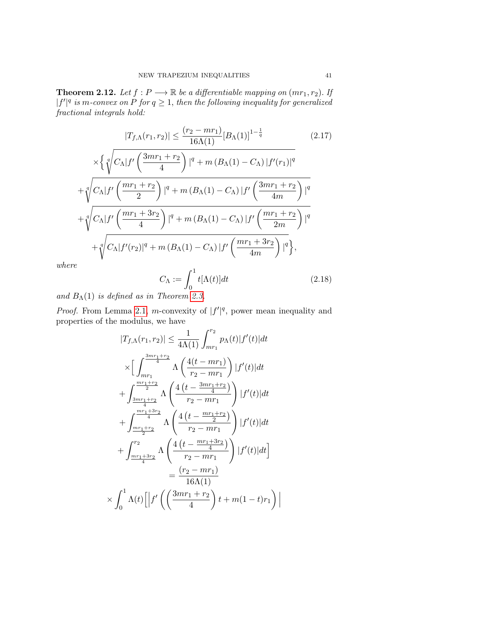<span id="page-10-0"></span>**Theorem 2.12.** Let  $f : P \longrightarrow \mathbb{R}$  be a differentiable mapping on  $(mr_1, r_2)$ . If  $|f'|^q$  is m-convex on P for  $q \geq 1$ , then the following inequality for generalized fractional integrals hold:

$$
|T_{f,\Lambda}(r_1,r_2)| \le \frac{(r_2 - mr_1)}{16\Lambda(1)} [B_{\Lambda}(1)]^{1 - \frac{1}{q}}
$$
 (2.17)

$$
\times \left\{ \sqrt[q]{C_{\Lambda}|f'\left(\frac{3mr_1+r_2}{4}\right)|^q + m(B_{\Lambda}(1) - C_{\Lambda})|f'(r_1)|^q} + \sqrt[q]{C_{\Lambda}|f'\left(\frac{mr_1+r_2}{2}\right)|^q + m(B_{\Lambda}(1) - C_{\Lambda})|f'\left(\frac{3mr_1+r_2}{4m}\right)|^q} + \sqrt[q]{C_{\Lambda}|f'\left(\frac{mr_1+3r_2}{4}\right)|^q + m(B_{\Lambda}(1) - C_{\Lambda})|f'\left(\frac{mr_1+r_2}{2m}\right)|^q} + \sqrt[q]{C_{\Lambda}|f'(r_2)|^q + m(B_{\Lambda}(1) - C_{\Lambda})|f'\left(\frac{mr_1+3r_2}{4m}\right)|^q} \right\},\,
$$

where

$$
C_{\Lambda} := \int_0^1 t[\Lambda(t)]dt
$$
\n(2.18)

and  $B_{\Lambda}(1)$  is defined as in Theorem [2.3.](#page-4-0)

*Proof.* From Lemma [2.1,](#page-2-1) *m*-convexity of  $|f'|^q$ , power mean inequality and properties of the modulus, we have

$$
|T_{f,\Lambda}(r_1,r_2)| \leq \frac{1}{4\Lambda(1)} \int_{mr_1}^{r_2} p_{\Lambda}(t) |f'(t)| dt
$$
  
\n
$$
\times \Big[ \int_{mr_1}^{\frac{3mr_1+r_2}{4}} \Lambda \left( \frac{4(t-mr_1)}{r_2-mr_1} \right) |f'(t)| dt
$$
  
\n
$$
+ \int_{\frac{3mr_1+r_2}{4}}^{\frac{mr_1+r_2}{4}} \Lambda \left( \frac{4(t-\frac{3mr_1+r_2}{4})}{r_2-mr_1} \right) |f'(t)| dt
$$
  
\n
$$
+ \int_{\frac{mr_1+r_2}{4}}^{r_2} \Lambda \left( \frac{4(t-\frac{mr_1+r_2}{2})}{r_2-mr_1} \right) |f'(t)| dt
$$
  
\n
$$
+ \int_{\frac{mr_1+3r_2}{4}}^{r_2} \Lambda \left( \frac{4(t-\frac{mr_1+3r_2}{4})}{r_2-mr_1} \right) |f'(t)| dt
$$
  
\n
$$
= \frac{(r_2-mr_1)}{16\Lambda(1)}
$$
  
\n
$$
\times \int_0^1 \Lambda(t) \Big[ |f' \Big( \left( \frac{3mr_1+r_2}{4} \right) t + m(1-t)r_1 \Big) |
$$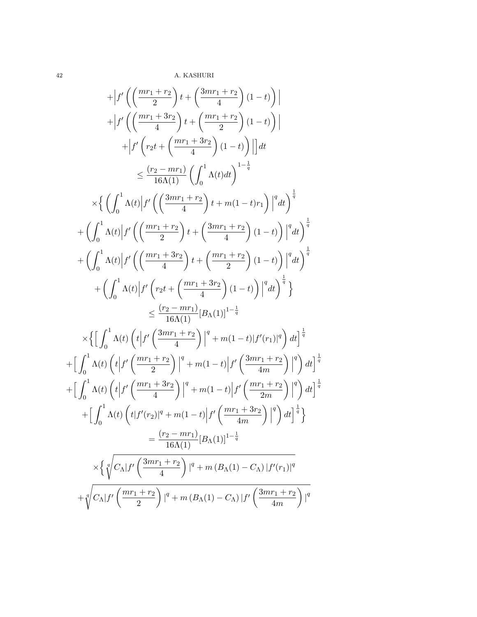$$
+ \left| f'\left(\left(\frac{mr_1 + r_2}{2}\right)t + \left(\frac{3mr_1 + r_2}{4}\right)(1-t)\right) \right|
$$
  
+ 
$$
\left| f'\left(\left(\frac{mr_1 + 3r_2}{4}\right)t + \left(\frac{mr_1 + r_2}{2}\right)(1-t)\right) \right| dt
$$
  

$$
\leq \frac{(r_2 - mr_1)}{16\Lambda(1)} \left(\int_0^1 \Lambda(t)dt\right)^{1-\frac{1}{q}}
$$
  

$$
\times \left\{ \left(\int_0^1 \Lambda(t) \left| f'\left(\left(\frac{3mr_1 + r_2}{4}\right)t + m(1-t)r_1\right) \right|^q dt\right)^{\frac{1}{q}}
$$
  
+ 
$$
\left(\int_0^1 \Lambda(t) \left| f'\left(\left(\frac{3mr_1 + r_2}{4}\right)t + m(1-t)r_1\right) \right|^q dt\right)^{\frac{1}{q}}
$$
  
+ 
$$
\left(\int_0^1 \Lambda(t) \left| f'\left(\left(\frac{mr_1 + 3r_2}{4}\right)t + \left(\frac{3mr_1 + r_2}{4}\right)(1-t)\right) \right|^q dt\right)^{\frac{1}{q}}
$$
  
+ 
$$
\left(\int_0^1 \Lambda(t) \left| f'\left(r_2t + \left(\frac{mr_1 + 3r_2}{4}\right)(1-t)\right) \right|^q dt\right)^{\frac{1}{q}}
$$
  
+ 
$$
\left(\int_0^1 \Lambda(t) \left| f'\left(r_2t + \left(\frac{mr_1 + 3r_2}{4}\right)(1-t)\right) \right|^q dt\right)^{\frac{1}{q}}
$$
  

$$
\times \left\{ \left[\int_0^1 \Lambda(t) \left(t \left| f'\left(\frac{3mr_1 + r_2}{4}\right) \right|^q + m(1-t) |f'(r_1)|^q\right) dt\right]^{\frac{1}{q}}
$$
  
+ 
$$
\left[\int_0^1 \Lambda(t) \left(t \left| f'\left(\frac{3mr_1 + r_2}{4}\right) \right|^q + m(1-t) |f'\left(\frac{3mr_1 + r_2}{4m}\right) \right|^q\right) dt\right]^{\frac{1}{q}}
$$
  
+ 
$$
\left[\int_0^1 \Lambda(t) \left(t \left| f'\left(\frac{mr_1 +
$$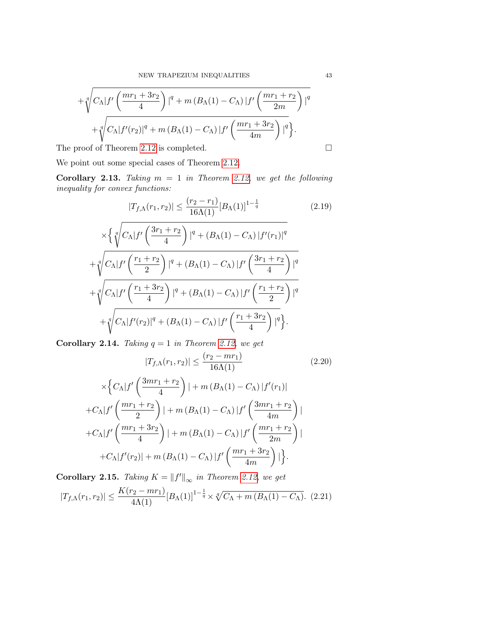$$
+\sqrt[q]{C_{\Lambda}|f'\left(\frac{mr_1+3r_2}{4}\right)|^q + m (B_{\Lambda}(1) - C_{\Lambda})|f'\left(\frac{mr_1+r_2}{2m}\right)|^q} +\sqrt[q]{C_{\Lambda}|f'(r_2)|^q + m (B_{\Lambda}(1) - C_{\Lambda})|f'\left(\frac{mr_1+3r_2}{4m}\right)|^q}.
$$

The proof of Theorem [2.12](#page-10-0) is completed.

We point out some special cases of Theorem [2.12.](#page-10-0)

Corollary 2.13. Taking  $m = 1$  in Theorem [2.12,](#page-10-0) we get the following inequality for convex functions:

$$
|T_{f,\Lambda}(r_1,r_2)| \le \frac{(r_2-r_1)}{16\Lambda(1)} [B_{\Lambda}(1)]^{1-\frac{1}{q}}
$$
\n(2.19)

$$
\times \left\{ \sqrt[q]{C_{\Lambda}|f'\left(\frac{3r_1+r_2}{4}\right)|^q + (B_{\Lambda}(1)-C_{\Lambda})|f'(r_1)|^q} + \sqrt[q]{C_{\Lambda}|f'\left(\frac{r_1+r_2}{2}\right)|^q + (B_{\Lambda}(1)-C_{\Lambda})|f'\left(\frac{3r_1+r_2}{4}\right)|^q} + \sqrt[q]{C_{\Lambda}|f'\left(\frac{r_1+3r_2}{4}\right)|^q + (B_{\Lambda}(1)-C_{\Lambda})|f'\left(\frac{r_1+r_2}{2}\right)|^q} + \sqrt[q]{C_{\Lambda}|f'(r_2)|^q + (B_{\Lambda}(1)-C_{\Lambda})|f'\left(\frac{r_1+3r_2}{4}\right)|^q} \right\}.
$$

**Corollary 2.14.** Taking  $q = 1$  in Theorem [2.12,](#page-10-0) we get

$$
|T_{f,\Lambda}(r_1,r_2)| \le \frac{(r_2 - mr_1)}{16\Lambda(1)}\tag{2.20}
$$

$$
\times \left\{ C_{\Lambda} |f'\left(\frac{3mr_1+r_2}{4}\right)| + m\left(B_{\Lambda}(1) - C_{\Lambda}\right)|f'(r_1)|
$$
  
+
$$
C_{\Lambda} |f'\left(\frac{mr_1+r_2}{2}\right)| + m\left(B_{\Lambda}(1) - C_{\Lambda}\right)|f'\left(\frac{3mr_1+r_2}{4m}\right)|
$$
  
+
$$
C_{\Lambda} |f'\left(\frac{mr_1+3r_2}{4}\right)| + m\left(B_{\Lambda}(1) - C_{\Lambda}\right)|f'\left(\frac{mr_1+r_2}{2m}\right)|
$$
  
+
$$
C_{\Lambda} |f'(r_2)| + m\left(B_{\Lambda}(1) - C_{\Lambda}\right)|f'\left(\frac{mr_1+3r_2}{4m}\right)|.
$$

**Corollary 2.15.** Taking  $K = ||f'||_{\infty}$  in Theorem [2.12,](#page-10-0) we get  $|T_{f,\Lambda}(r_1,r_2)| \leq \frac{K(r_2 - mr_1)}{4\Lambda(1)} [B_{\Lambda}(1)]^{1-\frac{1}{q}} \times \sqrt[q]{C_{\Lambda} + m (B_{\Lambda}(1) - C_{\Lambda})}$ . (2.21)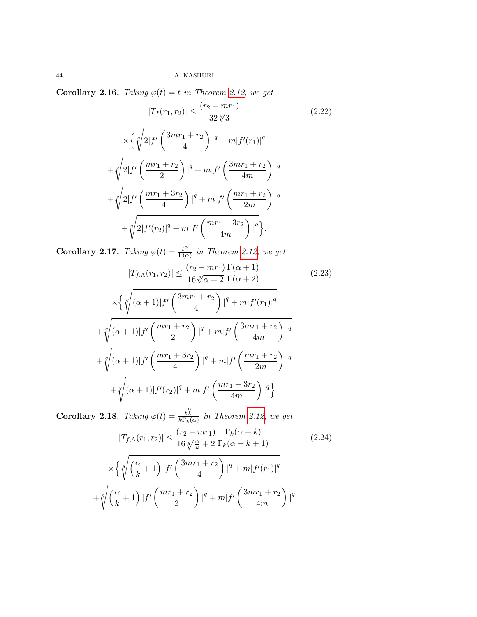Corollary 2.16. Taking  $\varphi(t) = t$  in Theorem [2.12,](#page-10-0) we get

$$
|T_f(r_1, r_2)| \le \frac{(r_2 - mr_1)}{32\sqrt[4]{3}} \tag{2.22}
$$

$$
\times \left\{ \sqrt[4]{2|f'\left(\frac{3mr_1 + r_2}{4}\right)|^q + m|f'(r_1)|^q} + \sqrt[4]{2|f'\left(\frac{mr_1 + r_2}{2}\right)|^q + m|f'\left(\frac{3mr_1 + r_2}{4m}\right)|^q} + \sqrt[4]{2|f'\left(\frac{mr_1 + 3r_2}{4}\right)|^q + m|f'\left(\frac{mr_1 + r_2}{2m}\right)|^q} + \sqrt[4]{2|f'(r_2)|^q + m|f'\left(\frac{mr_1 + 3r_2}{4m}\right)|^q}.
$$

Corollary 2.17. Taking  $\varphi(t) = \frac{t^{\alpha}}{\Gamma(s)}$  $\frac{t^{\alpha}}{\Gamma(\alpha)}$  in Theorem [2.12,](#page-10-0) we get

$$
|T_{f,\Lambda}(r_1, r_2)| \leq \frac{(r_2 - mr_1) \Gamma(\alpha + 1)}{16 \sqrt[q]{\alpha + 2} \Gamma(\alpha + 2)}
$$
(2.23)  

$$
\times \left\{ \sqrt[q]{(\alpha + 1)|f'\left(\frac{3mr_1 + r_2}{4}\right)|^q + m|f'(r_1)|^q} + \sqrt[q]{(\alpha + 1)|f'\left(\frac{mr_1 + r_2}{2}\right)|^q + m|f'\left(\frac{3mr_1 + r_2}{4m}\right)|^q} + \sqrt[q]{(\alpha + 1)|f'\left(\frac{mr_1 + 3r_2}{4}\right)|^q + m|f'\left(\frac{mr_1 + r_2}{2m}\right)|^q} + \sqrt[q]{(\alpha + 1)|f'(r_2)|^q + m|f'\left(\frac{mr_1 + 3r_2}{4m}\right)|^q}.
$$

**Corollary 2.18.** Taking  $\varphi(t) = \frac{t^{\frac{\alpha}{k}}}{k \Gamma_k(\alpha)}$  in Theorem [2.12,](#page-10-0) we get

$$
|T_{f,\Lambda}(r_1,r_2)| \leq \frac{(r_2 - mr_1)}{16\sqrt[q]{\frac{\alpha}{k} + 2}} \frac{\Gamma_k(\alpha + k)}{\Gamma_k(\alpha + k + 1)}
$$
(2.24)  

$$
\times \left\{ \sqrt[q]{\left(\frac{\alpha}{k} + 1\right) |f'\left(\frac{3mr_1 + r_2}{4}\right) |^q + m|f'(r_1)|^q} \right\}
$$

$$
+\sqrt[q]{\left(\frac{\alpha}{k}+1\right)|f'\left(\frac{mr_1+r_2}{2}\right)|^q+m|f'\left(\frac{3mr_1+r_2}{4m}\right)|^q}
$$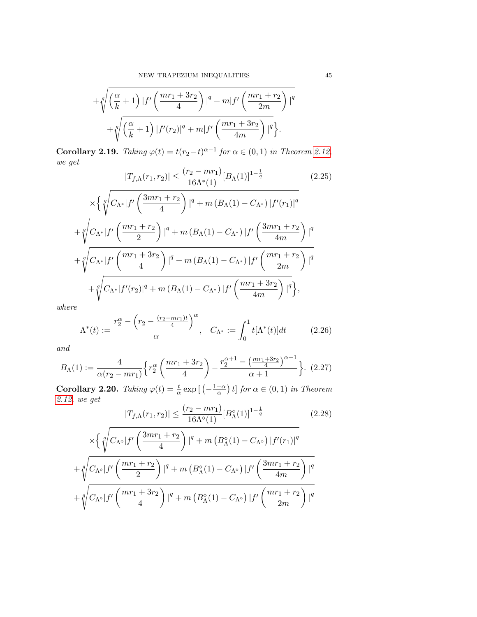$$
+\sqrt[q]{\left(\frac{\alpha}{k}+1\right)|f'\left(\frac{mr_1+3r_2}{4}\right)|^q+m|f'\left(\frac{mr_1+r_2}{2m}\right)|^q}+\sqrt[q]{\left(\frac{\alpha}{k}+1\right)|f'(r_2)|^q+m|f'\left(\frac{mr_1+3r_2}{4m}\right)|^q}\bigg\}.
$$

**Corollary 2.19.** Taking  $\varphi(t) = t(r_2 - t)^{\alpha - 1}$  for  $\alpha \in (0, 1)$  in Theorem [2.12,](#page-10-0) we get

$$
|T_{f,\Lambda}(r_1,r_2)| \le \frac{(r_2 - mr_1)}{16\Lambda^*(1)} [B_{\Lambda}(1)]^{1 - \frac{1}{q}}
$$
(2.25)

$$
\times \left\{ \sqrt[4]{C_{\Lambda^*} |f'(\frac{3mr_1+r_2}{4})|^q + m (B_{\Lambda}(1) - C_{\Lambda^*}) |f'(r_1)|^q} \right. \\ \left. + \sqrt[4]{C_{\Lambda^*} |f'(\frac{mr_1+r_2}{2})|^q + m (B_{\Lambda}(1) - C_{\Lambda^*}) |f'(\frac{3mr_1+r_2}{4m})|^q} \right. \\ \left. + \sqrt[q]{C_{\Lambda^*} |f'(\frac{mr_1+3r_2}{4})|^q + m (B_{\Lambda}(1) - C_{\Lambda^*}) |f'(\frac{mr_1+r_2}{2m})|^q} \right. \\ \left. + \sqrt[q]{C_{\Lambda^*} |f'(r_2)|^q + m (B_{\Lambda}(1) - C_{\Lambda^*}) |f'(\frac{mr_1+3r_2}{4m})|^q} \right\},
$$

where

$$
\Lambda^*(t) := \frac{r_2^{\alpha} - \left(r_2 - \frac{(r_2 - mr_1)t}{4}\right)^{\alpha}}{\alpha}, \quad C_{\Lambda^*} := \int_0^1 t[\Lambda^*(t)]dt \tag{2.26}
$$

and

$$
B_{\Lambda}(1) := \frac{4}{\alpha (r_2 - mr_1)} \left\{ r_2^{\alpha} \left( \frac{mr_1 + 3r_2}{4} \right) - \frac{r_2^{\alpha+1} - \left( \frac{mr_1 + 3r_2}{4} \right)^{\alpha+1}}{\alpha+1} \right\}.
$$
 (2.27)

Corollary 2.20. Taking  $\varphi(t) = \frac{t}{\alpha} \exp\left[\left(-\frac{1-\alpha}{\alpha}\right)\right]$  $\left(\frac{-\alpha}{\alpha}\right)t$  for  $\alpha \in (0,1)$  in Theorem [2.12,](#page-10-0) we get

$$
|T_{f,\Lambda}(r_1, r_2)| \le \frac{(r_2 - mr_1)}{16\Lambda^{\diamond}(1)} [B_{\Lambda}^{\diamond}(1)]^{1 - \frac{1}{q}}
$$
(2.28)  

$$
C_{\Lambda \diamond}|f' \left(\frac{3mr_1 + r_2}{\Lambda^{\diamond}(1)}\right)|^q + m (B_{\Lambda}^{\diamond}(1) - C_{\Lambda \diamond}) |f'(r_1)|^q
$$

$$
\times \left\{ \sqrt[4]{C_{\Lambda^\diamond} |f'\left(\frac{3mr_1+r_2}{4}\right)|^q + m\left(B_{\Lambda}^\diamond(1) - C_{\Lambda^\diamond}\right) |f'(r_1)|^q} \right. \\ \left. + \sqrt[q]{C_{\Lambda^\diamond} |f'\left(\frac{mr_1+r_2}{2}\right)|^q + m\left(B_{\Lambda}^\diamond(1) - C_{\Lambda^\diamond}\right) |f'\left(\frac{3mr_1+r_2}{4m}\right) |^q} \right. \\ \left. + \sqrt[q]{C_{\Lambda^\diamond} |f'\left(\frac{mr_1+3r_2}{4}\right)|^q + m\left(B_{\Lambda}^\diamond(1) - C_{\Lambda^\diamond}\right) |f'\left(\frac{mr_1+r_2}{2m}\right) |^q} \right.
$$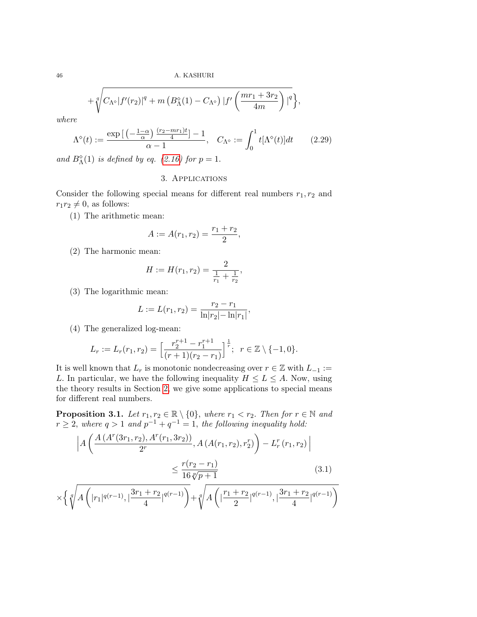$$
+\sqrt[q]{C_{\Lambda^\diamond}|f'(r_2)|^q+m\left(B_{\Lambda}^\diamond(1)-C_{\Lambda^\diamond}\right)|f'\left(\frac{mr_1+3r_2}{4m}\right)|^q},
$$

where

$$
\Lambda^{\diamond}(t) := \frac{\exp\left[\left(-\frac{1-\alpha}{\alpha}\right)\frac{(r_2 - mr_1)t}{4}\right] - 1}{\alpha - 1}, \quad C_{\Lambda^{\diamond}} := \int_0^1 t[\Lambda^{\diamond}(t)]dt \qquad (2.29)
$$

and  $B_{\Lambda}^{\diamond}(1)$  is defined by eq. [\(2.16\)](#page-9-0) for  $p=1$ .

## 3. Applications

<span id="page-15-0"></span>Consider the following special means for different real numbers  $r_1, r_2$  and  $r_1r_2 \neq 0$ , as follows:

(1) The arithmetic mean:

$$
A := A(r_1, r_2) = \frac{r_1 + r_2}{2},
$$

(2) The harmonic mean:

$$
H := H(r_1, r_2) = \frac{2}{\frac{1}{r_1} + \frac{1}{r_2}},
$$

(3) The logarithmic mean:

$$
L := L(r_1, r_2) = \frac{r_2 - r_1}{\ln|r_2| - \ln|r_1|}
$$

,

(4) The generalized log-mean:

$$
L_r := L_r(r_1, r_2) = \left[\frac{r_2^{r+1} - r_1^{r+1}}{(r+1)(r_2 - r_1)}\right]^{\frac{1}{r}}; \ \ r \in \mathbb{Z} \setminus \{-1, 0\}.
$$

It is well known that  $L_r$  is monotonic nondecreasing over  $r \in \mathbb{Z}$  with  $L_{-1} :=$ L. In particular, we have the following inequality  $H \leq L \leq A$ . Now, using the theory results in Section [2,](#page-2-0) we give some applications to special means for different real numbers.

**Proposition 3.1.** Let  $r_1, r_2 \in \mathbb{R} \setminus \{0\}$ , where  $r_1 < r_2$ . Then for  $r \in \mathbb{N}$  and  $r \geq 2$ , where  $q > 1$  and  $p^{-1} + q^{-1} = 1$ , the following inequality hold:

$$
\left| A \left( \frac{A \left( A^r(3r_1, r_2), A^r(r_1, 3r_2) \right)}{2^r}, A \left( A(r_1, r_2), r_2^r \right) \right) - L_r^r(r_1, r_2) \right| \le \frac{r(r_2 - r_1)}{16 \sqrt[p]{p+1}} \tag{3.1}
$$

$$
\times \left\{ \sqrt[q]{A\left(|r_1|^{q(r-1)}, |\frac{3r_1+r_2}{4}|^{q(r-1)}\right)} + \sqrt[q]{A\left(|\frac{r_1+r_2}{2}|^{q(r-1)}, |\frac{3r_1+r_2}{4}|^{q(r-1)}\right)} \right\}
$$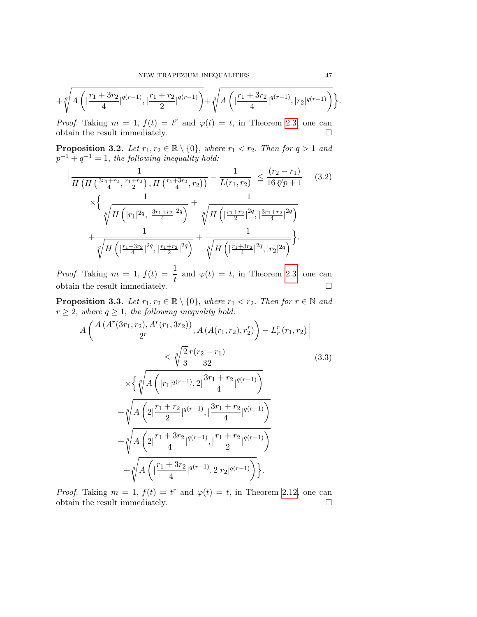$$
+ \sqrt[q]{A\left(\big|\frac{r_1+3r_2}{4}\big|^{q(r-1)},\big|\frac{r_1+r_2}{2}\big|^{q(r-1)}\right)} + \sqrt[q]{A\left(\big|\frac{r_1+3r_2}{4}\big|^{q(r-1)},\big|r_2\big|^{q(r-1)}\right)} \Bigg\}
$$

*Proof.* Taking  $m = 1$ ,  $f(t) = t^r$  and  $\varphi(t) = t$ , in Theorem [2.3,](#page-4-0) one can obtain the result immediately.  $\hfill \square$ 

**Proposition 3.2.** Let  $r_1, r_2 \in \mathbb{R} \setminus \{0\}$ , where  $r_1 < r_2$ . Then for  $q > 1$  and  $p^{-1} + q^{-1} = 1$ , the following inequality hold:

$$
\left| \frac{1}{H\left(H\left(\frac{3r_1+r_2}{4}, \frac{r_1+r_2}{2}\right), H\left(\frac{r_1+3r_2}{4}, r_2\right)\right)} - \frac{1}{L(r_1, r_2)} \right| \le \frac{(r_2 - r_1)}{16\sqrt[p]{p+1}} \quad (3.2)
$$
\n
$$
\times \left\{ \frac{1}{\sqrt[q]{H\left(|r_1|^{2q}, \left|\frac{3r_1+r_2}{4}\right|^{2q}\right)}} + \frac{1}{\sqrt[q]{H\left(|\frac{r_1+r_2}{2}|^{2q}, \left|\frac{3r_1+r_2}{4}\right|^{2q}\right)}} + \frac{1}{\sqrt[q]{H\left(|\frac{r_1+3r_2}{4}|^{2q}, \left|r_2\right|^{2q}\right)}} + \frac{1}{\sqrt[q]{H\left(|\frac{r_1+3r_2}{4}|^{2q}, \left|r_2\right|^{2q}\right)}} \right\}.
$$

*Proof.* Taking  $m = 1$ ,  $f(t) = \frac{1}{t}$  and  $\varphi(t) = t$ , in Theorem [2.3,](#page-4-0) one can obtain the result immediately.  $\Box$ 

**Proposition 3.3.** Let  $r_1, r_2 \in \mathbb{R} \setminus \{0\}$ , where  $r_1 < r_2$ . Then for  $r \in \mathbb{N}$  and  $r \geq 2$ , where  $q \geq 1$ , the following inequality hold:

$$
\left| A \left( \frac{A \left( A^{r}(3r_{1},r_{2}), A^{r}(r_{1},3r_{2}) \right)}{2^{r}}, A \left( A(r_{1},r_{2}),r_{2}^{r} \right) - L_{r}^{r}(r_{1},r_{2}) \right| \right. \\ \left. \left. \times \left\{ \sqrt{\frac{2}{3} \frac{r(r_{2} - r_{1})}{32}} \right. \right. \\ \left. \left. \times \left\{ \sqrt{\frac{4 \left( |r_{1}|^{q(r-1)}, 2| \frac{3r_{1} + r_{2}}{4} |^{q(r-1)} \right)}{4}} \right. \right. \\ \left. + \sqrt{\frac{4 \left( 2| \frac{r_{1} + r_{2}}{2} |^{q(r-1)}, 1 \frac{3r_{1} + r_{2}}{4} |^{q(r-1)} \right)}{4}} \right. \\ \left. + \sqrt{\frac{4 \left( 2| \frac{r_{1} + 3r_{2}}{4} |^{q(r-1)}, 1 \frac{r_{1} + r_{2}}{2} |^{q(r-1)} \right)}{4}} \right. \\ \left. + \sqrt{\frac{4 \left( 1 \frac{r_{1} + 3r_{2}}{4} |^{q(r-1)}, 2|r_{2}|^{q(r-1)} \right)}{4}} \right\}.
$$
\n
$$
(3.3)
$$

*Proof.* Taking  $m = 1$ ,  $f(t) = t^r$  and  $\varphi(t) = t$ , in Theorem [2.12,](#page-10-0) one can obtain the result immediately.  $\hfill \square$  .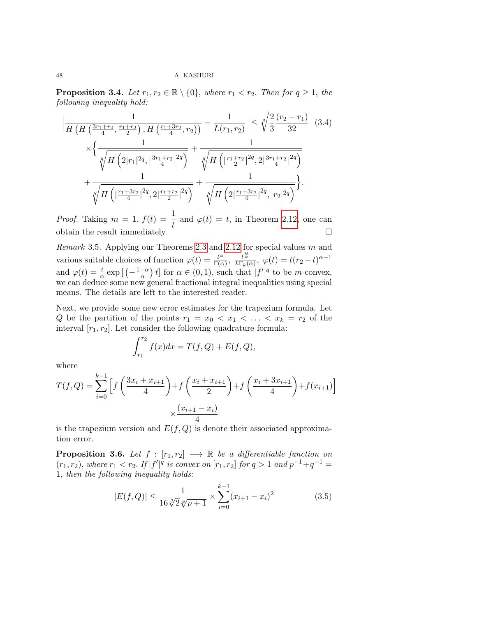**Proposition 3.4.** Let  $r_1, r_2 \in \mathbb{R} \setminus \{0\}$ , where  $r_1 < r_2$ . Then for  $q \geq 1$ , the following inequality hold:

$$
\left| \frac{1}{H\left(H\left(\frac{3r_1+r_2}{4}, \frac{r_1+r_2}{2}\right), H\left(\frac{r_1+3r_2}{4}, r_2\right)\right)} - \frac{1}{L(r_1, r_2)} \right| \leq \sqrt[4]{\frac{2}{3}} \frac{(r_2 - r_1)}{32} \quad (3.4)
$$

$$
\times \left\{ \frac{1}{\sqrt[4]{H\left(2|r_1|^{2q}, \left|\frac{3r_1+r_2}{4}\right|^{2q}\right)}} + \frac{1}{\sqrt[4]{H\left(\left|\frac{r_1+r_2}{2}\right|^{2q}, 2\left|\frac{3r_1+r_2}{4}\right|^{2q}\right)}} + \frac{1}{\sqrt[4]{H\left(2\left|\frac{r_1+3r_2}{4}\right|^{2q}, 2\left|\frac{r_1+r_2}{2}\right|^{2q}\right)}} + \frac{1}{\sqrt[4]{H\left(2\left|\frac{r_1+3r_2}{4}\right|^{2q}, \left|r_2\right|^{2q}\right)}} \right\}.
$$

*Proof.* Taking  $m = 1$ ,  $f(t) = \frac{1}{t}$  and  $\varphi(t) = t$ , in Theorem [2.12,](#page-10-0) one can obtain the result immediately.  $\Box$ 

Remark 3.5. Applying our Theorems [2.3](#page-4-0) and [2.12](#page-10-0) for special values m and various suitable choices of function  $\varphi(t) = \frac{t^{\alpha}}{\Gamma(s)}$  $\frac{t^{\alpha}}{\Gamma(\alpha)}, \frac{t^{\frac{\alpha}{k}}}{k\Gamma_k(\alpha)}, \varphi(t) = t(r_2-t)^{\alpha-1}$ and  $\varphi(t) = \frac{t}{\alpha} \exp\left[\left(-\frac{1-\alpha}{\alpha}\right)\right]$  $\frac{-\alpha}{\alpha}$  t obe m-convex,  $\frac{-\alpha}{\alpha}$  to be m-convex, we can deduce some new general fractional integral inequalities using special means. The details are left to the interested reader.

Next, we provide some new error estimates for the trapezium formula. Let Q be the partition of the points  $r_1 = x_0 < x_1 < \ldots < x_k = r_2$  of the interval  $[r_1, r_2]$ . Let consider the following quadrature formula:

$$
\int_{r_1}^{r_2} f(x)dx = T(f, Q) + E(f, Q),
$$

where

$$
T(f, Q) = \sum_{i=0}^{k-1} \left[ f\left(\frac{3x_i + x_{i+1}}{4}\right) + f\left(\frac{x_i + x_{i+1}}{2}\right) + f\left(\frac{x_i + 3x_{i+1}}{4}\right) + f(x_{i+1}) \right] \times \frac{(x_{i+1} - x_i)}{4}
$$

is the trapezium version and  $E(f, Q)$  is denote their associated approximation error.

<span id="page-17-0"></span>**Proposition 3.6.** Let  $f : [r_1, r_2] \longrightarrow \mathbb{R}$  be a differentiable function on  $(r_1, r_2)$ , where  $r_1 < r_2$ . If  $|f'|^q$  is convex on  $[r_1, r_2]$  for  $q > 1$  and  $p^{-1} + q^{-1} =$ 1, then the following inequality holds:

$$
|E(f,Q)| \le \frac{1}{16\sqrt[q]{2}\sqrt[p]{p+1}} \times \sum_{i=0}^{k-1} (x_{i+1} - x_i)^2
$$
 (3.5)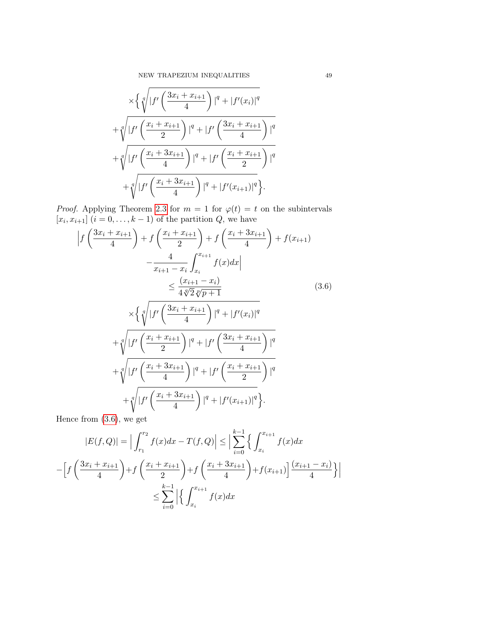$$
\times \left\{ \sqrt[4]{|f'\left(\frac{3x_i + x_{i+1}}{4}\right)|^q + |f'(x_i)|^q} + \sqrt[4]{|f'\left(\frac{x_i + x_{i+1}}{2}\right)|^q + |f'\left(\frac{3x_i + x_{i+1}}{4}\right)|^q} + \sqrt[4]{|f'\left(\frac{x_i + 3x_{i+1}}{4}\right)|^q + |f'\left(\frac{x_i + x_{i+1}}{2}\right)|^q} + \sqrt[4]{|f'\left(\frac{x_i + 3x_{i+1}}{4}\right)|^q + |f'(x_{i+1})|^q} \right\}.
$$

*Proof.* Applying Theorem [2.3](#page-4-0) for  $m = 1$  for  $\varphi(t) = t$  on the subintervals  $[x_i, x_{i+1}]$   $(i = 0, \ldots, k-1)$  of the partition  $Q$ , we have

$$
\left| f\left(\frac{3x_i + x_{i+1}}{4}\right) + f\left(\frac{x_i + x_{i+1}}{2}\right) + f\left(\frac{x_i + 3x_{i+1}}{4}\right) + f(x_{i+1}) \right|
$$

$$
- \frac{4}{x_{i+1} - x_i} \int_{x_i}^{x_{i+1}} f(x) dx
$$

$$
\leq \frac{(x_{i+1} - x_i)}{4\sqrt[n]{2\sqrt[n]{p+1}}} \tag{3.6}
$$

$$
\times \left\{ \sqrt[n]{|f'\left(\frac{3x_i + x_{i+1}}{4}\right)|^q + |f'(x_i)|^q} + \sqrt[n]{|f'\left(\frac{x_i + x_{i+1}}{2}\right)|^q + |f'\left(\frac{3x_i + x_{i+1}}{4}\right)|^q} \right\}
$$

<span id="page-18-0"></span>
$$
\sqrt{\frac{1}{f'}\left(\frac{x_i + 3x_{i+1}}{4}\right)|^q + |f'\left(\frac{x_i + x_{i+1}}{2}\right)|^q + |f'\left(\frac{x_i + x_{i+1}}{2}\right)|^q + \sqrt[q]{|f'\left(\frac{x_i + 3x_{i+1}}{4}\right)|^q + |f'(x_{i+1})|^q}.
$$

Hence from [\(3.6\)](#page-18-0), we get

$$
|E(f, Q)| = \Big| \int_{r_1}^{r_2} f(x)dx - T(f, Q) \Big| \le \Big| \sum_{i=0}^{k-1} \Big\{ \int_{x_i}^{x_{i+1}} f(x)dx
$$

$$
- \Big[ f\left(\frac{3x_i + x_{i+1}}{4}\right) + f\left(\frac{x_i + x_{i+1}}{2}\right) + f\left(\frac{x_i + 3x_{i+1}}{4}\right) + f(x_{i+1}) \Big] \frac{(x_{i+1} - x_i)}{4} \Big\} \Big|
$$

$$
\le \sum_{i=0}^{k-1} \Big| \Big\{ \int_{x_i}^{x_{i+1}} f(x)dx
$$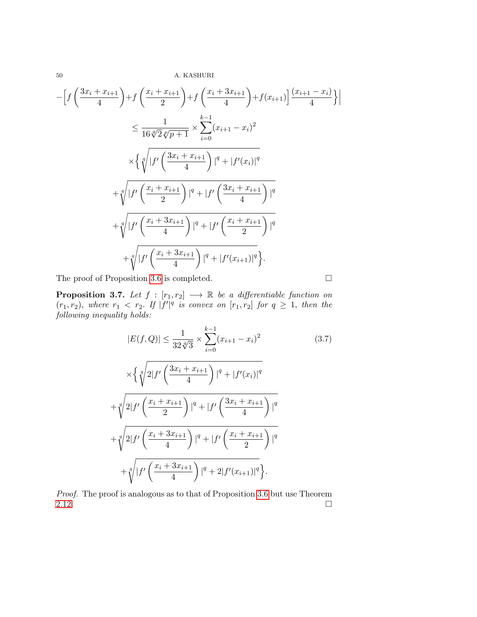$$
-\left[f\left(\frac{3x_{i}+x_{i+1}}{4}\right)+f\left(\frac{x_{i}+x_{i+1}}{2}\right)+f\left(\frac{x_{i}+3x_{i+1}}{4}\right)+f(x_{i+1})\right]\frac{(x_{i+1}-x_{i})}{4}\right]
$$
  
\n
$$
\leq \frac{1}{16\sqrt[4]{2}\sqrt[6]{p+1}} \times \sum_{i=0}^{k-1} (x_{i+1}-x_{i})^{2}
$$
  
\n
$$
\times \left\{\sqrt[q]{|f'\left(\frac{3x_{i}+x_{i+1}}{4}\right)|^{q}+|f'(x_{i})|^{q}}\right\}
$$
  
\n
$$
+\sqrt[q]{|f'\left(\frac{x_{i}+x_{i+1}}{2}\right)|^{q}+|f'\left(\frac{3x_{i}+x_{i+1}}{4}\right)|^{q}}
$$
  
\n
$$
+\sqrt[q]{|f'\left(\frac{x_{i}+3x_{i+1}}{4}\right)|^{q}+|f'\left(\frac{x_{i}+x_{i+1}}{2}\right)|^{q}}
$$
  
\n
$$
+\sqrt[q]{|f'\left(\frac{x_{i}+3x_{i+1}}{4}\right)|^{q}+|f'(x_{i+1})|^{q}}.
$$

The proof of Proposition [3.6](#page-17-0) is completed.

**Proposition 3.7.** Let  $f : [r_1, r_2] \longrightarrow \mathbb{R}$  be a differentiable function on  $(r_1, r_2)$ , where  $r_1 \, < r_2$ . If  $|f'|^q$  is convex on  $[r_1, r_2]$  for  $q \geq 1$ , then the following inequality holds:

$$
|E(f, Q)| \leq \frac{1}{32\sqrt[4]{3}} \times \sum_{i=0}^{k-1} (x_{i+1} - x_i)^2
$$
(3.7)  

$$
\times \left\{ \sqrt[4]{2|f'\left(\frac{3x_i + x_{i+1}}{4}\right)|^q + |f'(x_i)|^q} \right.
$$

$$
+ \sqrt[4]{2|f'\left(\frac{x_i + x_{i+1}}{2}\right)|^q + |f'\left(\frac{3x_i + x_{i+1}}{4}\right)|^q}
$$

$$
+ \sqrt[4]{2|f'\left(\frac{x_i + 3x_{i+1}}{4}\right)|^q + |f'\left(\frac{x_i + x_{i+1}}{2}\right)|^q}
$$

$$
+ \sqrt[4]{|f'\left(\frac{x_i + 3x_{i+1}}{4}\right)|^q + 2|f'(x_{i+1})|^q}.
$$

Proof. The proof is analogous as to that of Proposition [3.6](#page-17-0) but use Theorem [2.12.](#page-10-0)  $\Box$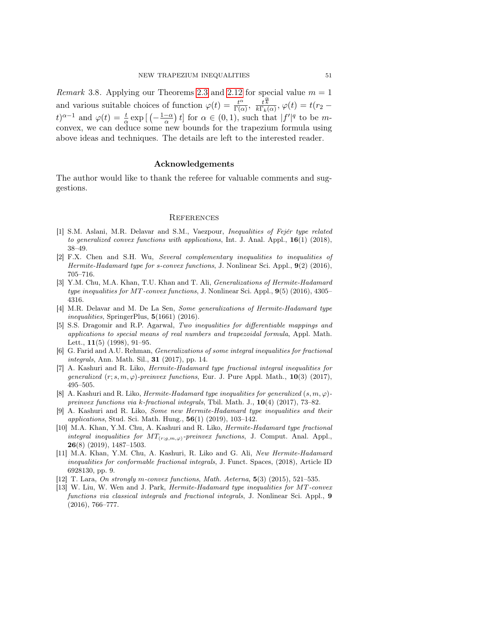*Remark* 3.8. Applying our Theorems [2.3](#page-4-0) and [2.12](#page-10-0) for special value  $m = 1$ and various suitable choices of function  $\varphi(t) = \frac{t^{\alpha}}{\Gamma(s)}$  $\frac{t^{\alpha}}{\Gamma(\alpha)}, \frac{t^{\frac{\alpha}{k}}}{k \Gamma_k(\alpha)}, \varphi(t) = t(r_2$  $t)^{\alpha-1}$  and  $\varphi(t) = \frac{t}{\alpha} \exp\left[\left(-\frac{1-\alpha}{\alpha}\right)\right]$  $\left[\frac{-\alpha}{\alpha}\right]t$  for  $\alpha \in (0,1)$ , such that  $|f'|^q$  to be mconvex, we can deduce some new bounds for the trapezium formula using above ideas and techniques. The details are left to the interested reader.

#### Acknowledgements

The author would like to thank the referee for valuable comments and suggestions.

### **REFERENCES**

- <span id="page-20-0"></span>[1] S.M. Aslani, M.R. Delavar and S.M., Vaezpour, Inequalities of Fejér type related to generalized convex functions with applications, Int. J. Anal. Appl.,  $16(1)$  (2018), 38–49.
- [2] F.X. Chen and S.H. Wu, Several complementary inequalities to inequalities of Hermite-Hadamard type for s-convex functions, J. Nonlinear Sci. Appl., 9(2) (2016), 705–716.
- [3] Y.M. Chu, M.A. Khan, T.U. Khan and T. Ali, Generalizations of Hermite-Hadamard type inequalities for MT-convex functions, J. Nonlinear Sci. Appl., 9(5) (2016), 4305– 4316.
- [4] M.R. Delavar and M. De La Sen, Some generalizations of Hermite-Hadamard type inequalities, SpringerPlus,  $5(1661)$  (2016).
- [5] S.S. Dragomir and R.P. Agarwal, Two inequalities for differentiable mappings and applications to special means of real numbers and trapezoidal formula, Appl. Math. Lett., 11(5) (1998), 91–95.
- [6] G. Farid and A.U. Rehman, Generalizations of some integral inequalities for fractional integrals, Ann. Math. Sil., **31** (2017), pp. 14.
- [7] A. Kashuri and R. Liko, Hermite-Hadamard type fractional integral inequalities for generalized  $(r; s, m, \varphi)$ -preinvex functions, Eur. J. Pure Appl. Math., 10(3) (2017), 495–505.
- [8] A. Kashuri and R. Liko, *Hermite-Hadamard type inequalities for generalized*  $(s, m, \varphi)$ preinvex functions via k-fractional integrals, Tbil. Math. J.,  $10(4)$  (2017), 73–82.
- [9] A. Kashuri and R. Liko, Some new Hermite-Hadamard type inequalities and their *applications*, Stud. Sci. Math. Hung.,  $56(1)$   $(2019)$ ,  $103-142$ .
- [10] M.A. Khan, Y.M. Chu, A. Kashuri and R. Liko, Hermite-Hadamard type fractional integral inequalities for  $MT_{(r;g,m,\varphi)}$ -preinvex functions, J. Comput. Anal. Appl.,  $26(8)$  (2019), 1487-1503.
- [11] M.A. Khan, Y.M. Chu, A. Kashuri, R. Liko and G. Ali, New Hermite-Hadamard inequalities for conformable fractional integrals, J. Funct. Spaces, (2018), Article ID 6928130, pp. 9.
- <span id="page-20-1"></span>[12] T. Lara, On strongly m-convex functions, Math. Aeterna, 5(3) (2015), 521–535.
- [13] W. Liu, W. Wen and J. Park, Hermite-Hadamard type inequalities for MT-convex functions via classical integrals and fractional integrals, J. Nonlinear Sci. Appl., 9 (2016), 766–777.